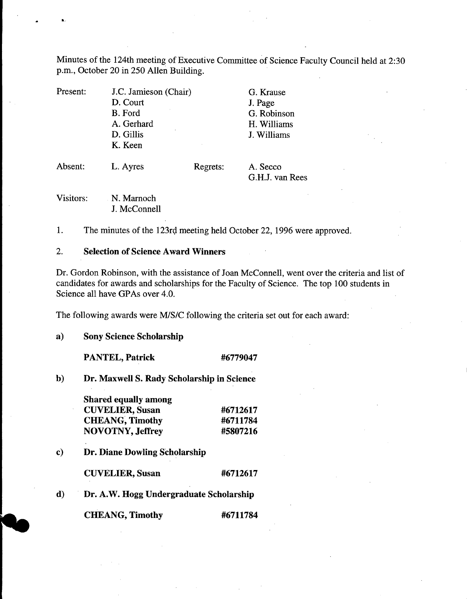Minutes of the 124th meeting of Executive Committee of Science Faculty Council held at 2:30 p.m., October 20 in *250* Allen Building.

| Present: | J.C. Jamieson (Chair) |          | G. Krause                   |
|----------|-----------------------|----------|-----------------------------|
|          | D. Court              |          | J. Page                     |
|          | <b>B.</b> Ford        |          | G. Robinson                 |
|          | A. Gerhard            |          | H. Williams                 |
|          | D. Gillis             |          | J. Williams                 |
|          | K. Keen               |          |                             |
| Absent:  | L. Ayres              | Regrets: | A. Secco<br>G.H.J. van Rees |
|          |                       |          |                             |

Visitors: N. Marnoch J. McConnell

 $1.$ The minutes of the 123rd meeting held October 22, 1996 were approved.

#### $2.$ **Selection of Science Award Winners**

Dr. Gordon Robinson, with the assistance of Joan McConnell, went over the criteria and list of candidates for awards and scholarships for the Faculty of Science. The top 100 students in Science all have GPAs over 4.0.

The following awards were M/S/C following the criteria set out for each award:

 $\mathbf{a}$ **Sony Science Scholarship** 

**PANTEL, Patrick #6779047** 

 $\mathbf{b}$ **Dr. Maxwell S. Rady Scholarship in Science** 

| <b>Shared equally among</b> |          |
|-----------------------------|----------|
| <b>CUVELIER, Susan</b>      | #6712617 |
| <b>CHEANG, Timothy</b>      | #6711784 |
| <b>NOVOTNY, Jeffrey</b>     | #5807216 |

 $\bf c)$ **Dr. Diane Dowling Scholarship** 

**CUVELIER, Susan #6712617** 

d) **Dr. A.W. Hogg Undergraduate Scholarship** 

**CHEANG, Timothy #6711784**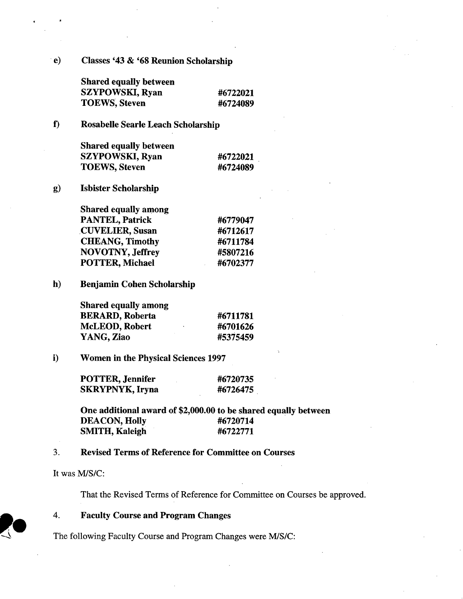**e) Classes '43 & '68 Reunion Scholarship** 

**Shared equally between SZYPOWSKI, Ryan #6722021 TOEWS, Steven #6724089** 

**0 Rosabelle Searle Leach Scholarship** 

**Shared equally between SZYPOWSKI, Ryan #6722021 TOEWS, Steven #6724089** 

 $g)$ **Isbister Scholarship** 

> **Shared equally among PANTEL, Patrick #6779047 CU YELlER, Susan #6712617 CHEANG, Timothy #6711784 NOVOTNY, Jeffrey #5807216 POTTER, Michael #6702377**

 $h)$ **Benjamin Cohen Scholarship** 

| <b>Shared equally among</b> |          |
|-----------------------------|----------|
| <b>BERARD, Roberta</b>      | #6711781 |
| <b>McLEOD, Robert</b>       | #6701626 |
| YANG, Ziao                  | #5375459 |

 $\mathbf{i}$ **Women in the Physical Sciences 1997** 

| POTTER, Jennifer | #6720735 |
|------------------|----------|
| SKRYPNYK, Iryna  | #6726475 |

**One additional award of \$2,000.00 to be shared equally between DEACON, Holly #6720714 SMITH, Kaleigh #6722771** 

#### **3. Revised Terms of Reference for Committee on Courses**

**It was MIS/C:** 

**That the Revised Terms of Reference for Committee on Courses be approved.** 

It was M/S/C:<br> **4. Faculty Course and Program Changes**<br> **14. Faculty Course and Program Changes were M/S/C:**<br> **14. Faculty Course and Program Changes were M/S/C:** 

**P1**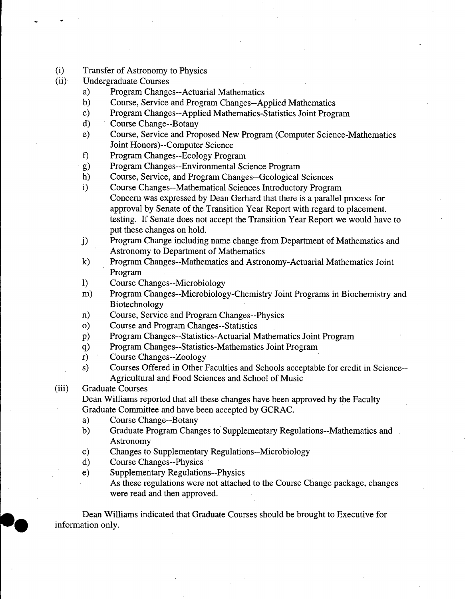- (i) Transfer of Astronomy to Physics
- (ii) Undergraduate Courses
	- a) Program Changes--Actuarial Mathematics
	- Course, Service and Program Changes--Applied Mathematics  $b)$
	- Program Changes--Applied Mathematics-Statistics Joint Program  $\mathbf{c})$
	- $\mathbf{d}$ Course Change--Botany
	- Course, Service and Proposed New Program (Computer Science-Mathematics  $e)$ Joint Honors)--Computer Science
	- I) Program Changes--Ecology Program
	- $g)$ Program Changes--Environmental Science Program
	- $h)$ Course, Service, and Program Changes--Geological Sciences
	- $\mathbf{i}$ Course Changes--Mathematical Sciences Introductory Program Concern was expressed by Dean Gerhard that there is a parallel process for approval by Senate of the Transition Year Report with regard to placement. testing. If Senate does not accept the Transition Year Report we would have to put these changes on hold.
	- $j)$ Program Change including name change from Department of Mathematics and Astronomy to Department of Mathematics
	- $\bf k)$ Program Changes--Mathematics and Astronomy-Actuarial Mathematics Joint Program
	- 1) Course Changes--Microbiology
	- Program Changes--Microbiology-Chemistry Joint Programs in Biochemistry and  $m)$ Biotechnology
	- Course, Service and Program Changes--Physics  $n)$
	- $\mathbf{o}$ Course and Program Changes--Statistics
	- $p)$ Program Changes--Statistics-Actuarial Mathematics Joint Program
	- Program Changes--Statistics-Mathematics Joint Program  $q)$
	- $r)$ Course Changes--Zoology
	- Courses Offered in Other Faculties and Schools acceptable for credit in Science- s) Agricultural and Food Sciences and School of Music

#### (iii) Graduate Courses

Dean Williams reported that all these changes have been approved by the Faculty Graduate Committee and have been accepted by GCRAC.

- Course Change--Botany a)
- Graduate Program Changes to Supplementary Regulations--Mathematics and  $b)$ Astronomy
- Changes to Supplementary Regulations--Microbiology  $\mathbf{c})$
- $\mathbf{d}$ Course Changes--Physics
- Supplementary Regulations--Physics  $e)$ 
	- As these regulations were not attached to the Course Change package, changes were read and then approved.

Dean Williams indicated that Graduate Courses should be brought to Executive for information only.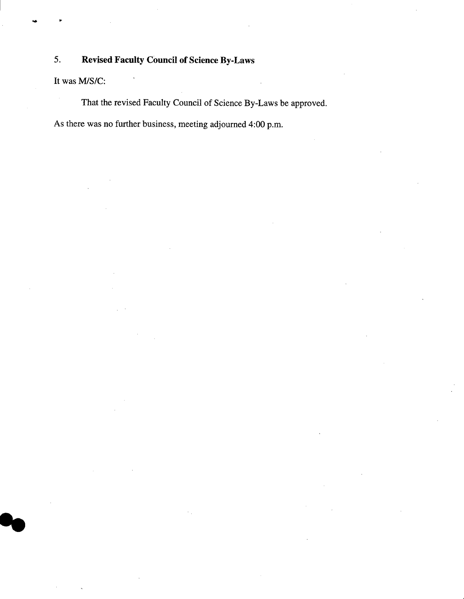# *5.* **Revised Faculty Council of Science By-Laws**

It was M/S/C:

That the revised Faculty Council of Science By-Laws be approved.

As there was no further business, meeting adjourned 4:00 p.m.